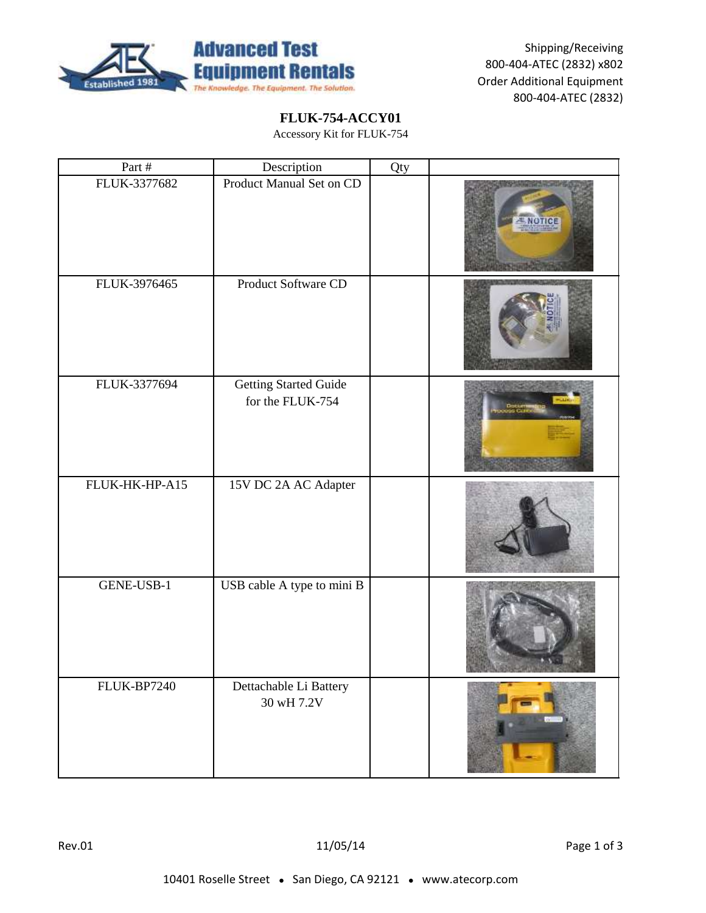

Shipping/Receiving 800-404-ATEC (2832) x802 Order Additional Equipment 800-404-ATEC (2832)

## **FLUK-754-ACCY01**

Accessory Kit for FLUK-754

| Part #         | Description                                      | Qty |         |
|----------------|--------------------------------------------------|-----|---------|
| FLUK-3377682   | Product Manual Set on CD                         |     | ENGTICI |
| FLUK-3976465   | Product Software CD                              |     |         |
| FLUK-3377694   | <b>Getting Started Guide</b><br>for the FLUK-754 |     |         |
| FLUK-HK-HP-A15 | 15V DC 2A AC Adapter                             |     |         |
| GENE-USB-1     | USB cable A type to mini B                       |     |         |
| FLUK-BP7240    | Dettachable Li Battery<br>30 wH 7.2V             |     |         |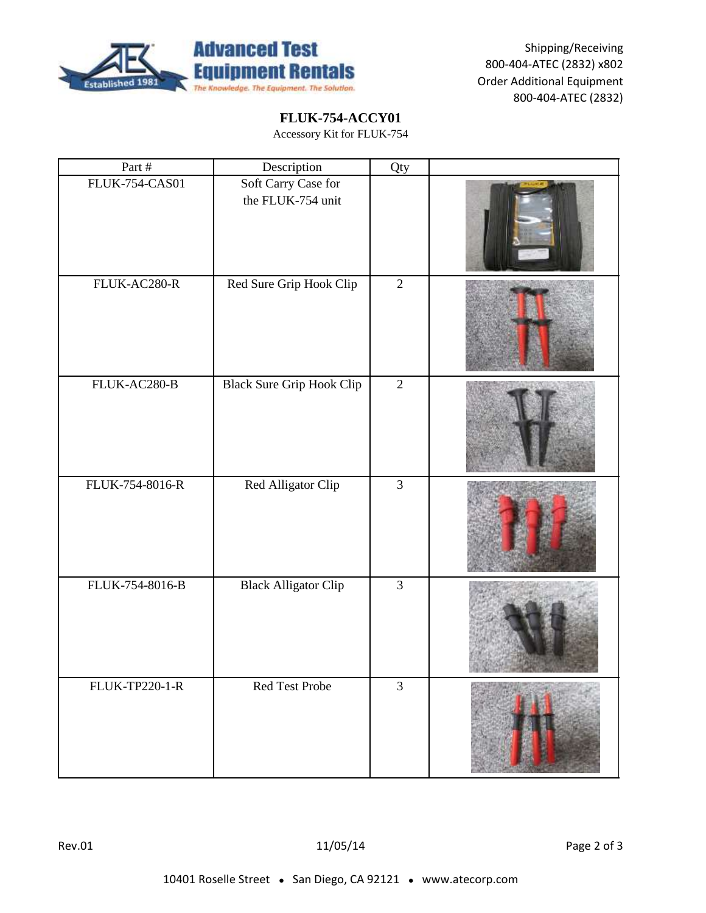

Shipping/Receiving 800-404-ATEC (2832) x802 Order Additional Equipment 800-404-ATEC (2832)

## **FLUK-754-ACCY01**

Accessory Kit for FLUK-754

| Part #                | Description                              | Qty            |  |
|-----------------------|------------------------------------------|----------------|--|
| <b>FLUK-754-CAS01</b> | Soft Carry Case for<br>the FLUK-754 unit |                |  |
| FLUK-AC280-R          | Red Sure Grip Hook Clip                  | $\overline{2}$ |  |
| FLUK-AC280-B          | <b>Black Sure Grip Hook Clip</b>         | $\overline{2}$ |  |
| FLUK-754-8016-R       | Red Alligator Clip                       | $\overline{3}$ |  |
| FLUK-754-8016-B       | <b>Black Alligator Clip</b>              | $\overline{3}$ |  |
| <b>FLUK-TP220-1-R</b> | Red Test Probe                           | $\overline{3}$ |  |